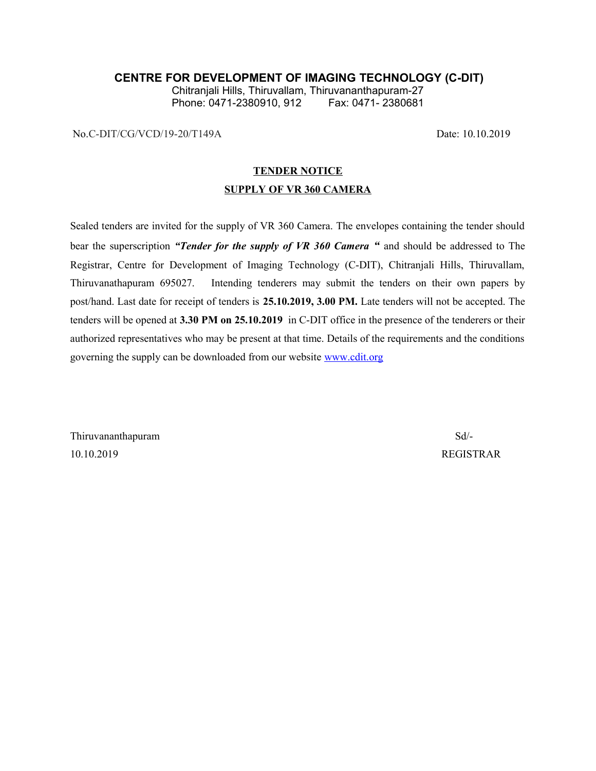### **CENTRE FOR DEVELOPMENT OF IMAGING TECHNOLOGY (C-DIT)**

Chitranjali Hills, Thiruvallam, Thiruvananthapuram-27 Phone: 0471-2380910, 912

No.C-DIT/CG/VCD/19-20/T149A Date: 10.10.2019

### **TENDER NOTICE**

#### **SUPPLY OF VR 360 CAMERA**

Sealed tenders are invited for the supply of VR 360 Camera. The envelopes containing the tender should bear the superscription *"Tender for the supply of VR 360 Camera "* and should be addressed to The Registrar, Centre for Development of Imaging Technology (C-DIT), Chitranjali Hills, Thiruvallam, Thiruvanathapuram 695027. Intending tenderers may submit the tenders on their own papers by post/hand. Last date for receipt of tenders is **25.10.2019, 3.00 PM.** Late tenders will not be accepted. The tenders will be opened at **3.30 PM on 25.10.2019** in C-DIT office in the presence of the tenderers or their authorized representatives who may be present at that time. Details of the requirements and the conditions governing the supply can be downloaded from our website [www.cdit.org](http://www.cdit.org/)

Thiruvananthapuram Sd/- 10.10.2019 REGISTRAR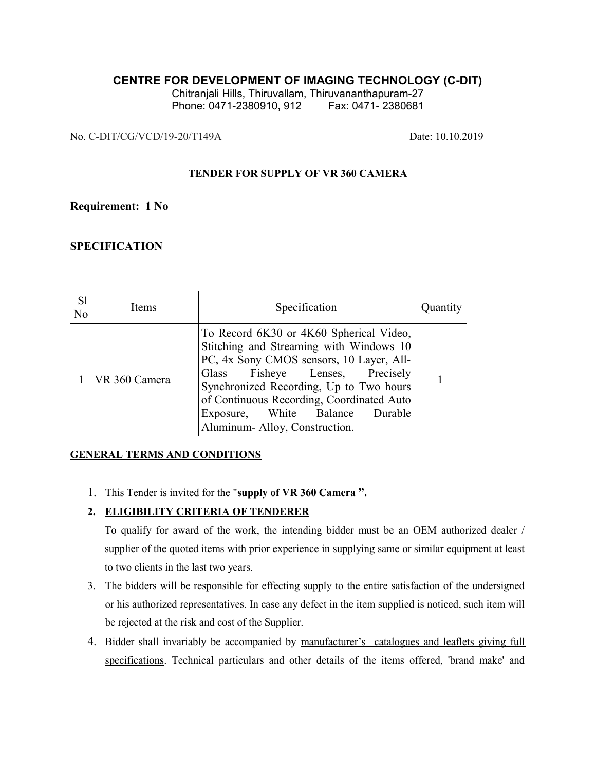## **CENTRE FOR DEVELOPMENT OF IMAGING TECHNOLOGY (C-DIT)**

Chitranjali Hills, Thiruvallam, Thiruvananthapuram-27 Phone: 0471-2380910, 912 Fax: 0471-2380681

No. C-DIT/CG/VCD/19-20/T149A Date: 10.10.2019

### **TENDER FOR SUPPLY OF VR 360 CAMERA**

### **Requirement: 1 No**

## **SPECIFICATION**

| S1<br>N <sub>o</sub> | Items         | Specification                                                                                                                                                                                                                                                                                                                 | Quantity |
|----------------------|---------------|-------------------------------------------------------------------------------------------------------------------------------------------------------------------------------------------------------------------------------------------------------------------------------------------------------------------------------|----------|
|                      | VR 360 Camera | To Record 6K30 or 4K60 Spherical Video,<br>Stitching and Streaming with Windows 10<br>PC, 4x Sony CMOS sensors, 10 Layer, All-<br>Glass Fisheye Lenses, Precisely<br>Synchronized Recording, Up to Two hours<br>of Continuous Recording, Coordinated Auto<br>Exposure, White Balance Durable<br>Aluminum-Alloy, Construction. |          |

### **GENERAL TERMS AND CONDITIONS**

1. This Tender is invited for the "**supply of VR 360 Camera ".**

### **2. ELIGIBILITY CRITERIA OF TENDERER**

To qualify for award of the work, the intending bidder must be an OEM authorized dealer / supplier of the quoted items with prior experience in supplying same or similar equipment at least to two clients in the last two years.

- 3. The bidders will be responsible for effecting supply to the entire satisfaction of the undersigned or his authorized representatives. In case any defect in the item supplied is noticed, such item will be rejected at the risk and cost of the Supplier.
- 4. Bidder shall invariably be accompanied by manufacturer's catalogues and leaflets giving full specifications. Technical particulars and other details of the items offered, 'brand make' and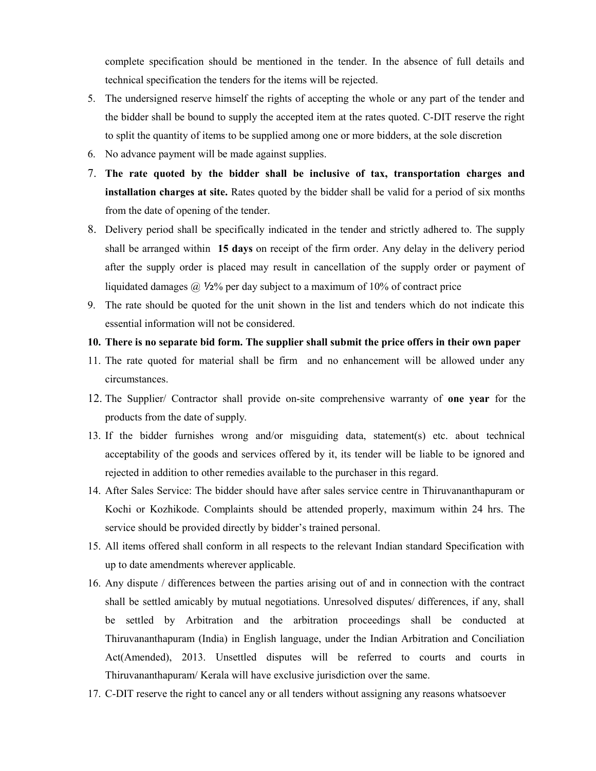complete specification should be mentioned in the tender. In the absence of full details and technical specification the tenders for the items will be rejected.

- 5. The undersigned reserve himself the rights of accepting the whole or any part of the tender and the bidder shall be bound to supply the accepted item at the rates quoted. C-DIT reserve the right to split the quantity of items to be supplied among one or more bidders, at the sole discretion
- 6. No advance payment will be made against supplies.
- 7. **The rate quoted by the bidder shall be inclusive of tax, transportation charges and installation charges at site.** Rates quoted by the bidder shall be valid for a period of six months from the date of opening of the tender.
- 8. Delivery period shall be specifically indicated in the tender and strictly adhered to. The supply shall be arranged within **15 days** on receipt of the firm order. Any delay in the delivery period after the supply order is placed may result in cancellation of the supply order or payment of liquidated damages @ ½% per day subject to a maximum of 10% of contract price
- 9. The rate should be quoted for the unit shown in the list and tenders which do not indicate this essential information will not be considered.

### **10. There is no separate bid form. The supplier shall submit the price offers in their own paper**

- 11. The rate quoted for material shall be firm and no enhancement will be allowed under any circumstances.
- 12. The Supplier/ Contractor shall provide on-site comprehensive warranty of **one year** for the products from the date of supply.
- 13. If the bidder furnishes wrong and/or misguiding data, statement(s) etc. about technical acceptability of the goods and services offered by it, its tender will be liable to be ignored and rejected in addition to other remedies available to the purchaser in this regard.
- 14. After Sales Service: The bidder should have after sales service centre in Thiruvananthapuram or Kochi or Kozhikode. Complaints should be attended properly, maximum within 24 hrs. The service should be provided directly by bidder's trained personal.
- 15. All items offered shall conform in all respects to the relevant Indian standard Specification with up to date amendments wherever applicable.
- 16. Any dispute / differences between the parties arising out of and in connection with the contract shall be settled amicably by mutual negotiations. Unresolved disputes/ differences, if any, shall be settled by Arbitration and the arbitration proceedings shall be conducted at Thiruvananthapuram (India) in English language, under the Indian Arbitration and Conciliation Act(Amended), 2013. Unsettled disputes will be referred to courts and courts in Thiruvananthapuram/ Kerala will have exclusive jurisdiction over the same.
- 17. C-DIT reserve the right to cancel any or all tenders without assigning any reasons whatsoever